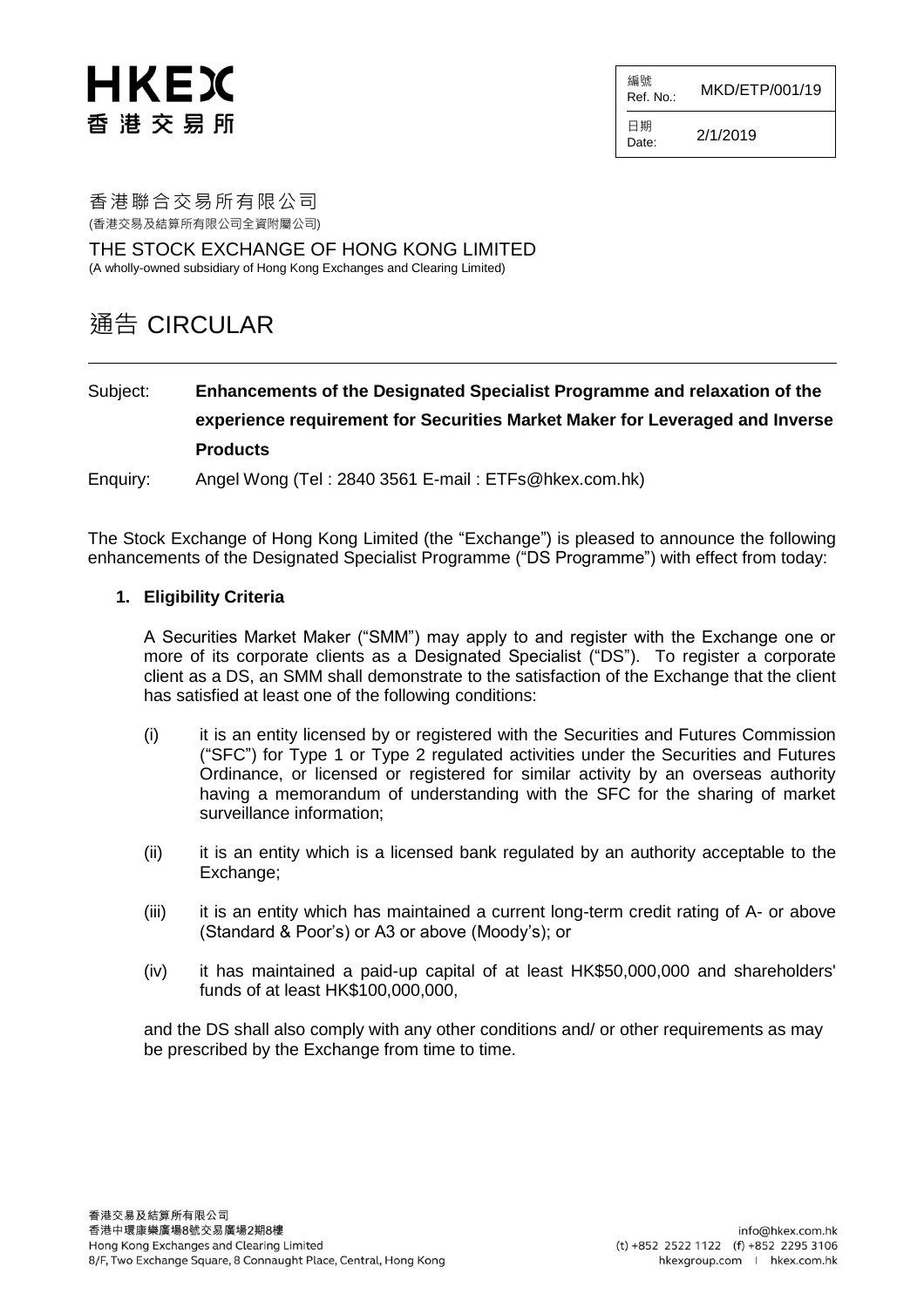# HKEX 香港交易所

編號  $R$ ef. No.: MKD/ETP/001/19

日期  $D_{\text{late}}$  2/1/2019

香港聯合交易所有限公司 (香港交易及結算所有限公司全資附屬公司)

THE STOCK EXCHANGE OF HONG KONG LIMITED (A wholly-owned subsidiary of Hong Kong Exchanges and Clearing Limited)

## 通告 CIRCULAR

### Subject: **Enhancements of the Designated Specialist Programme and relaxation of the experience requirement for Securities Market Maker for Leveraged and Inverse Products**

Enquiry: Angel Wong (Tel : 2840 3561 E-mail : ETFs@hkex.com.hk)

The Stock Exchange of Hong Kong Limited (the "Exchange") is pleased to announce the following enhancements of the Designated Specialist Programme ("DS Programme") with effect from today:

#### **1. Eligibility Criteria**

A Securities Market Maker ("SMM") may apply to and register with the Exchange one or more of its corporate clients as a Designated Specialist ("DS"). To register a corporate client as a DS, an SMM shall demonstrate to the satisfaction of the Exchange that the client has satisfied at least one of the following conditions:

- (i) it is an entity licensed by or registered with the Securities and Futures Commission ("SFC") for Type 1 or Type 2 regulated activities under the Securities and Futures Ordinance, or licensed or registered for similar activity by an overseas authority having a memorandum of understanding with the SFC for the sharing of market surveillance information;
- (ii) it is an entity which is a licensed bank regulated by an authority acceptable to the Exchange;
- (iii) it is an entity which has maintained a current long-term credit rating of A- or above (Standard & Poor's) or A3 or above (Moody's); or
- (iv) it has maintained a paid-up capital of at least HK\$50,000,000 and shareholders' funds of at least HK\$100,000,000,

and the DS shall also comply with any other conditions and/ or other requirements as may be prescribed by the Exchange from time to time.